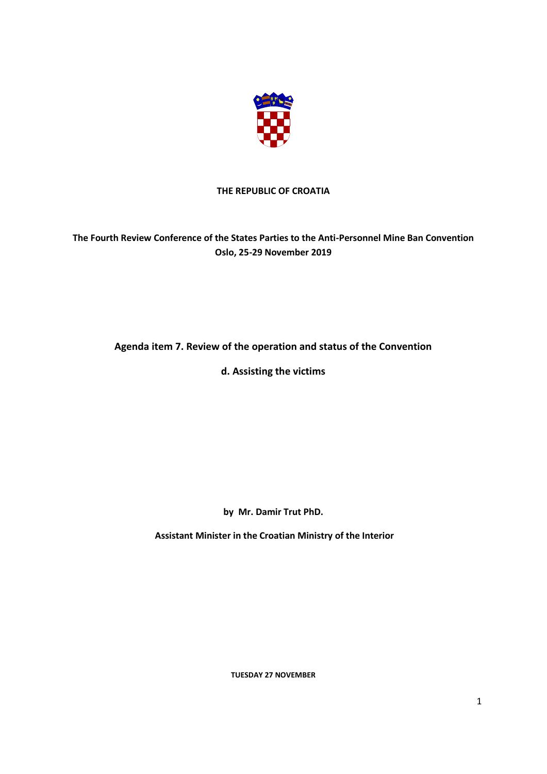

## **THE REPUBLIC OF CROATIA**

## **The Fourth Review Conference of the States Parties to the Anti-Personnel Mine Ban Convention Oslo, 25-29 November 2019**

## **Agenda item 7. Review of the operation and status of the Convention**

**d. Assisting the victims**

**by Mr. Damir Trut PhD.**

**Assistant Minister in the Croatian Ministry of the Interior**

**TUESDAY 27 NOVEMBER**